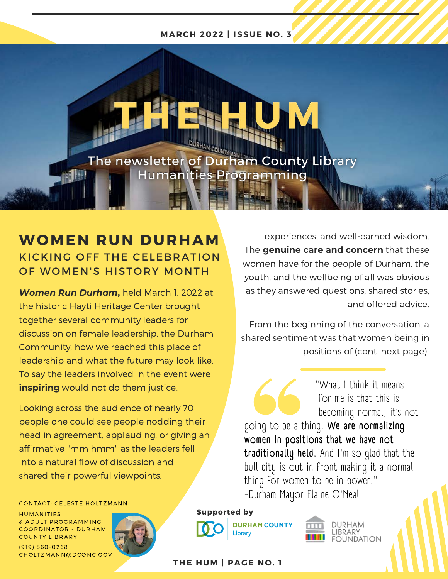## **MARCH 2022 | ISSUE NO. 3**

The newsletter of Durham County Library **Humanities Programming** 

## **WOMEN RUN DURHAM** KICKING OFF THE CELEBRATION OF WOMEN'S HISTORY MONTH

*Women Run Durham***,** held March 1, 2022 at the historic Hayti Heritage Center brought together several community leaders for discussion on female leadership, the Durham Community, how we reached this place of leadership and what the future may look like. To say the leaders involved in the event were **inspiring** would not do them justice.

Looking across the audience of nearly 70 people one could see people nodding their head in agreement, applauding, or giving an affirmative "mm hmm'' as the leaders fell into a natural flow of discussion and shared their powerful viewpoints,

experiences, and well-earned wisdom. The **genuine care and concern** that these women have for the people of Durham, the youth, and the wellbeing of all was obvious as they answered questions, shared stories, and offered advice.

From the beginning of the conversation, a shared sentiment was that women being in positions of (cont. next page)

 "What I think it means for me is that this is becoming normal, it's not going to be a thing. **We are normalizing women in positions that we have not traditionally held.** And I'm so glad that the bull city is out in front making it a normal thing for women to be in power." -Durham Mayor Elaine O'Neal

**CONTACT: CELESTE HOLTZMANN** 

CONTACT: CELESTE HOLTZMA<br>HUMANITIES<br>& ADULT PROGRAMMING COMMENT CELEVER POST HAM<br>HUMANITIES<br>& ADULT PROGRAMMING<br>COORDINATOR - DURHAM HUMANITIES<br>& ADULT PROGRAMM<br>COORDINATOR - DUR<br>COUNTY LIBRARY COORDINATOR - DURHAM<br>COUNTY LIBRARY<br>(919) 560-0268

CHOLTZMANN@DCONC.GOV



**Supported by**



**DURHAM COUNTY** 



**THE HUM | PAGE NO. 1** 

Librarv